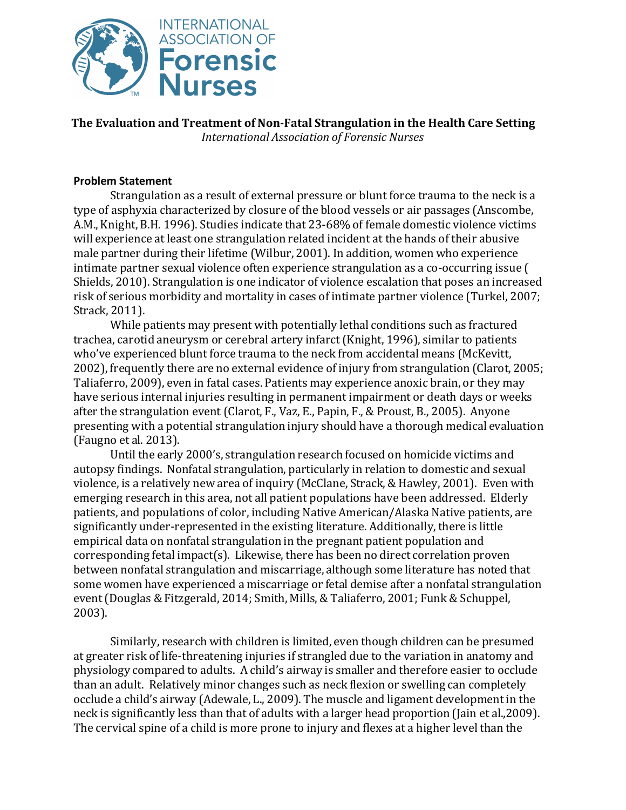

**The Evaluation and Treatment of Non-Fatal Strangulation in the Health Care Setting** *International Association of Forensic Nurses*

## **Problem Statement**

Strangulation as a result of external pressure or blunt force trauma to the neck is a type of asphyxia characterized by closure of the blood vessels or air passages (Anscombe, A.M., Knight, B.H. 1996). Studies indicate that 23-68% of female domestic violence victims will experience at least one strangulation related incident at the hands of their abusive male partner during their lifetime (Wilbur, 2001). In addition, women who experience intimate partner sexual violence often experience strangulation as a co-occurring issue ( Shields, 2010). Strangulation is one indicator of violence escalation that poses an increased risk of serious morbidity and mortality in cases of intimate partner violence (Turkel, 2007; Strack, 2011).

While patients may present with potentially lethal conditions such as fractured trachea, carotid aneurysm or cerebral artery infarct(Knight, 1996), similar to patients who've experienced blunt force trauma to the neck from accidental means (McKevitt, 2002), frequently there are no external evidence of injury from strangulation (Clarot, 2005; Taliaferro, 2009), even in fatal cases. Patients may experience anoxic brain, or they may have serious internal injuries resulting in permanent impairment or death days or weeks after the strangulation event (Clarot, F., Vaz, E., Papin, F., & Proust, B., 2005). Anyone presenting with a potential strangulation injury should have a thorough medical evaluation (Faugno et al. 2013).

Until the early 2000's, strangulation research focused on homicide victims and autopsy findings. Nonfatal strangulation, particularly in relation to domestic and sexual violence, is a relatively new area of inquiry (McClane, Strack, & Hawley, 2001). Even with emerging research in this area, not all patient populations have been addressed. Elderly patients, and populations of color, including Native American/Alaska Native patients, are significantly under-represented in the existing literature. Additionally, there is little empirical data on nonfatal strangulation in the pregnant patient population and corresponding fetal impact(s). Likewise, there has been no direct correlation proven between nonfatal strangulation and miscarriage, although some literature has noted that some women have experienced a miscarriage or fetal demise after a nonfatal strangulation event(Douglas & Fitzgerald, 2014; Smith, Mills, & Taliaferro, 2001; Funk & Schuppel, 2003).

Similarly, research with children is limited, even though children can be presumed at greater risk of life-threatening injuries if strangled due to the variation in anatomy and physiology compared to adults. A child's airway is smaller and therefore easier to occlude than an adult. Relatively minor changes such as neck flexion or swelling can completely occlude a child's airway (Adewale, L., 2009). The muscle and ligament development in the neck is significantly less than that of adults with a larger head proportion (Jain et al.,2009). The cervical spine of a child is more prone to injury and flexes at a higher level than the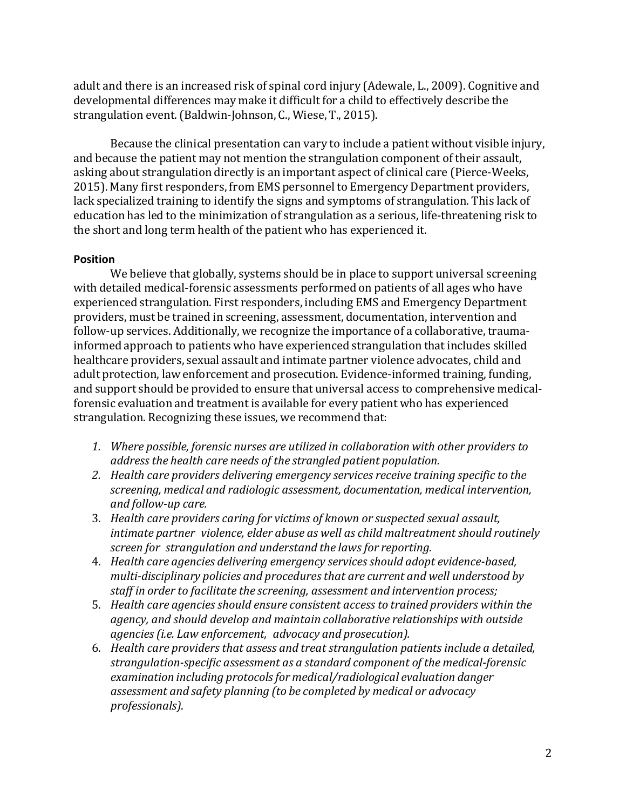adult and there is an increased risk of spinal cord injury (Adewale, L., 2009). Cognitive and developmental differences may make it difficult for a child to effectively describe the strangulation event. (Baldwin-Johnson, C., Wiese, T., 2015).

Because the clinical presentation can vary to include a patient without visible injury, and because the patient may not mention the strangulation component of their assault, asking about strangulation directly is an important aspect of clinical care (Pierce-Weeks, 2015). Many first responders, from EMS personnel to Emergency Department providers, lack specialized training to identify the signs and symptoms of strangulation. This lack of education has led to the minimization of strangulation as a serious, life-threatening risk to the short and long term health of the patient who has experienced it.

## **Position**

We believe that globally, systems should be in place to support universal screening with detailed medical-forensic assessments performed on patients of all ages who have experienced strangulation. First responders, including EMS and Emergency Department providers, must be trained in screening, assessment, documentation, intervention and follow-up services. Additionally, we recognize the importance of a collaborative, traumainformed approach to patients who have experienced strangulation that includes skilled healthcare providers, sexual assault and intimate partner violence advocates, child and adult protection, law enforcement and prosecution. Evidence-informed training, funding, and support should be provided to ensure that universal access to comprehensive medicalforensic evaluation and treatment is available for every patient who has experienced strangulation. Recognizing these issues, we recommend that:

- *1. Where possible, forensic nurses are utilized in collaboration with other providers to address the health care needs of the strangled patient population.*
- *2. Health care providers delivering emergency services receive training specific to the screening, medical and radiologic assessment, documentation, medical intervention, and follow-up care.*
- 3. *Health care providers caring for victims of known or suspected sexual assault, intimate partner violence, elder abuse as well as child maltreatment should routinely screen for strangulation and understand the laws for reporting.*
- 4. *Health care agencies delivering emergency servicesshould adopt evidence-based, multi-disciplinary policies and proceduresthat are current and well understood by staff in order to facilitate the screening, assessment and intervention process;*
- 5. *Health care agencies should ensure consistent access to trained providers within the agency, and should develop and maintain collaborative relationships with outside agencies(i.e. Law enforcement, advocacy and prosecution).*
- 6. *Health care providers that assess and treat strangulation patients include a detailed, strangulation-specific assessment as a standard component of the medical-forensic examination including protocolsfor medical/radiological evaluation danger assessment and safety planning (to be completed by medical or advocacy professionals)*.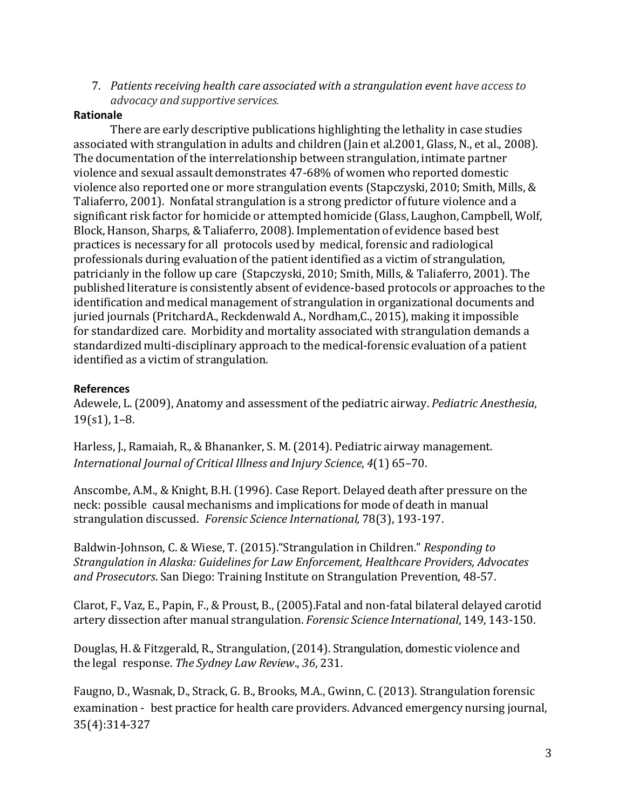7. *Patients receiving health care associated with a strangulation event have access to advocacy and supportive services.*

## **Rationale**

There are early descriptive publications highlighting the lethality in case studies associated with strangulation in adults and children (Jain et al.2001, Glass, N., et al., 2008). The documentation of the interrelationship between strangulation, intimate partner violence and sexual assault demonstrates 47-68% of women who reported domestic violence also reported one or more strangulation events (Stapczyski, 2010; Smith, Mills, & Taliaferro, 2001). Nonfatal strangulation is a strong predictor of future violence and a significant risk factor for homicide or attempted homicide (Glass, Laughon, Campbell, Wolf, Block, Hanson, Sharps, & Taliaferro, 2008). Implementation of evidence based best practices is necessary for all protocols used by medical, forensic and radiological professionals during evaluation of the patient identified as a victim of strangulation, patricianly in the follow up care (Stapczyski, 2010; Smith, Mills, & Taliaferro, 2001). The published literature is consistently absent of evidence-based protocols or approaches to the identification and medical management of strangulation in organizational documents and juried journals (PritchardA., Reckdenwald A., Nordham,C., 2015), making it impossible for standardized care. Morbidity and mortality associated with strangulation demands a standardized multi-disciplinary approach to the medical-forensic evaluation of a patient identified as a victim of strangulation.

## **References**

Adewele, L. (2009), Anatomy and assessment of the pediatric airway. *Pediatric Anesthesia*,  $19(s1)$ , 1–8.

Harless, J., Ramaiah, R., & Bhananker, S. M. (2014). Pediatric airway management. *International Journal of Critical Illness and Injury Science*, *4*(1) 65–70.

Anscombe, A.M., & Knight, B.H.(1996). Case Report. Delayed death after pressure on the neck: possible causal mechanisms and implications for mode of death in manual strangulation discussed. *Forensic Science International,* 78(3), 193-197.

Baldwin-Johnson, C. & Wiese, T. (2015)."Strangulation in Children." *Responding to Strangulation in Alaska: Guidelines for Law Enforcement, Healthcare Providers, Advocates and Prosecutors*. San Diego: Training Institute on Strangulation Prevention, 48-57.

Clarot, F., Vaz, E., Papin, F., & Proust, B., (2005).Fatal and non-fatal bilateral delayed carotid artery dissection after manual strangulation. *Forensic Science International*, 149, 143-150.

Douglas, H. & Fitzgerald, R., Strangulation,(2014). Strangulation, domestic violence and the legal response. *The Sydney Law Review*., *36*, 231.

Faugno, D., Wasnak, D., Strack, G. B., Brooks, M.A., Gwinn, C. (2013). Strangulation forensic examination - best practice for health care providers. Advanced emergency nursing journal, 35(4):314-327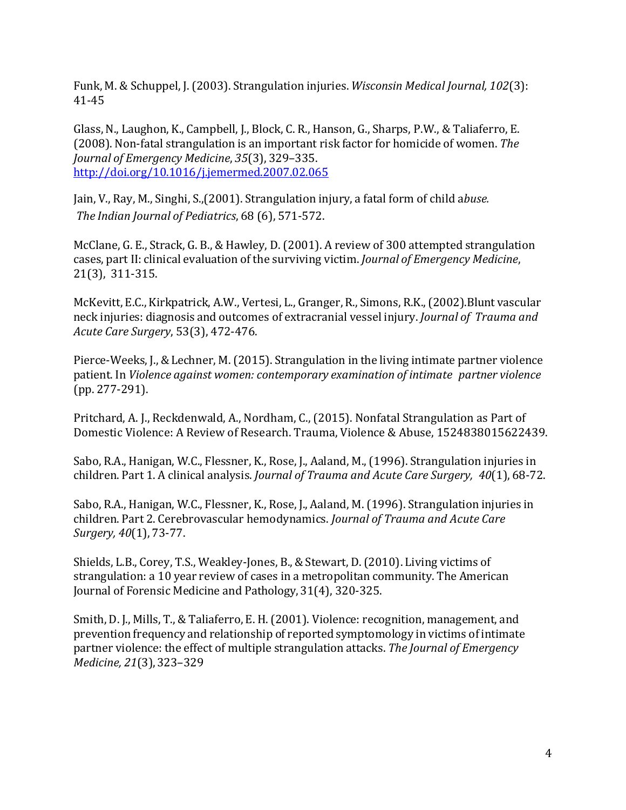Funk, M. & Schuppel, J. (2003). Strangulation injuries. *Wisconsin Medical Journal, 102*(3): 41-45

Glass, N., Laughon, K., Campbell, J., Block, C. R., Hanson, G., Sharps, P.W., & Taliaferro, E. (2008). Non-fatal strangulation is an important risk factor for homicide of women. *The Journal of Emergency Medicine*, *35*(3), 329–335. <http://doi.org/10.1016/j.jemermed.2007.02.065>

Jain, V., Ray, M., Singhi, S.,(2001). Strangulation injury, a fatal form of child a*buse. The Indian Journal of Pediatrics*, 68 (6), 571-572.

McClane, G. E., Strack, G. B., & Hawley, D. (2001). A review of 300 attempted strangulation cases, part II: clinical evaluation of the surviving victim. *Journal of Emergency Medicine*, 21(3), 311-315.

McKevitt, E.C., Kirkpatrick, A.W., Vertesi, L., Granger, R., Simons, R.K.,(2002).Blunt vascular neck injuries: diagnosis and outcomes of extracranial vessel injury. *Journal of Trauma and Acute Care Surgery*, 53(3), 472-476.

Pierce-Weeks, J., & Lechner, M. (2015). Strangulation in the living intimate partner violence patient. In *Violence against women: contemporary examination of intimate partner violence* (pp. 277-291).

Pritchard, A. J., Reckdenwald, A., Nordham, C., (2015). Nonfatal Strangulation as Part of Domestic Violence: A Review of Research. Trauma, Violence & Abuse, 1524838015622439.

Sabo, R.A., Hanigan, W.C., Flessner, K., Rose, J., Aaland, M., (1996). Strangulation injuries in children. Part 1. A clinical analysis. *Journal of Trauma and Acute Care Surgery, 40*(1), 68-72.

Sabo, R.A., Hanigan, W.C., Flessner, K., Rose, J., Aaland, M. (1996). Strangulation injuries in children. Part 2. Cerebrovascular hemodynamics. *Journal of Trauma and Acute Care Surgery, 40*(1), 73-77.

Shields, L.B., Corey, T.S., Weakley-Jones, B., & Stewart, D. (2010). Living victims of strangulation: a 10 year review of cases in a metropolitan community. The American Journal of Forensic Medicine and Pathology, 31(4), 320-325.

Smith, D. J., Mills, T., & Taliaferro, E. H.(2001). Violence: recognition, management, and prevention frequency and relationship of reported symptomology in victims of intimate partner violence: the effect of multiple strangulation attacks. *The Journal of Emergency Medicine, 21*(3),323–329